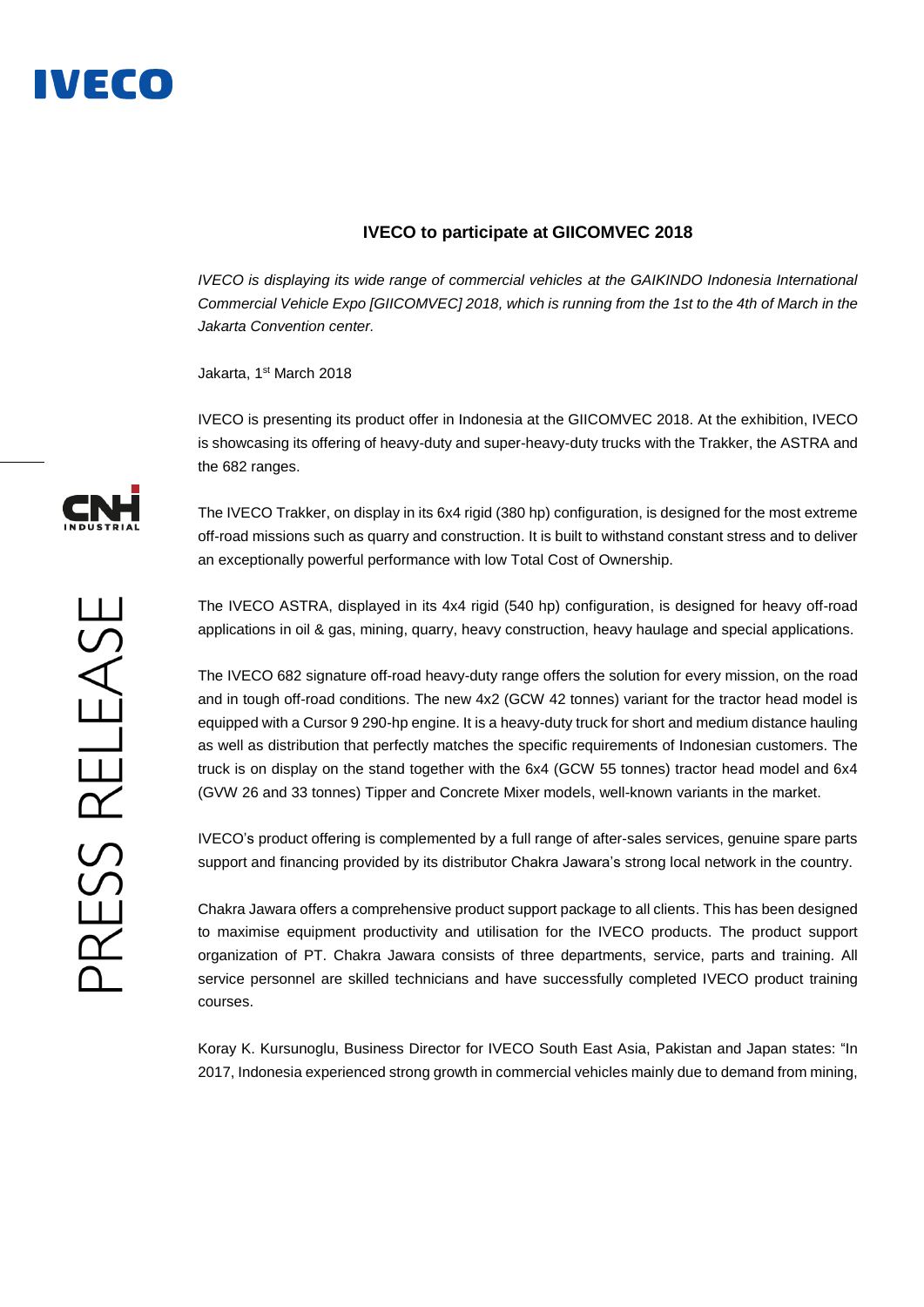

## **IVECO to participate at GIICOMVEC 2018**

*IVECO is displaying its wide range of commercial vehicles at the GAIKINDO Indonesia International Commercial Vehicle Expo [GIICOMVEC] 2018, which is running from the 1st to the 4th of March in the Jakarta Convention center.*

Jakarta, 1<sup>st</sup> March 2018

IVECO is presenting its product offer in Indonesia at the GIICOMVEC 2018. At the exhibition, IVECO is showcasing its offering of heavy-duty and super-heavy-duty trucks with the Trakker, the ASTRA and the 682 ranges.

The IVECO Trakker, on display in its 6x4 rigid (380 hp) configuration, is designed for the most extreme off-road missions such as quarry and construction. It is built to withstand constant stress and to deliver an exceptionally powerful performance with low Total Cost of Ownership.

The IVECO ASTRA, displayed in its 4x4 rigid (540 hp) configuration, is designed for heavy off-road applications in oil & gas, mining, quarry, heavy construction, heavy haulage and special applications.

The IVECO 682 signature off-road heavy-duty range offers the solution for every mission, on the road and in tough off-road conditions. The new 4x2 (GCW 42 tonnes) variant for the tractor head model is equipped with a Cursor 9 290-hp engine. It is a heavy-duty truck for short and medium distance hauling as well as distribution that perfectly matches the specific requirements of Indonesian customers. The truck is on display on the stand together with the 6x4 (GCW 55 tonnes) tractor head model and 6x4 (GVW 26 and 33 tonnes) Tipper and Concrete Mixer models, well-known variants in the market.

IVECO's product offering is complemented by a full range of after-sales services, genuine spare parts support and financing provided by its distributor Chakra Jawara's strong local network in the country.

Chakra Jawara offers a comprehensive product support package to all clients. This has been designed to maximise equipment productivity and utilisation for the IVECO products. The product support organization of PT. Chakra Jawara consists of three departments, service, parts and training. All service personnel are skilled technicians and have successfully completed IVECO product training courses.

Koray K. Kursunoglu, Business Director for IVECO South East Asia, Pakistan and Japan states: "In 2017, Indonesia experienced strong growth in commercial vehicles mainly due to demand from mining,

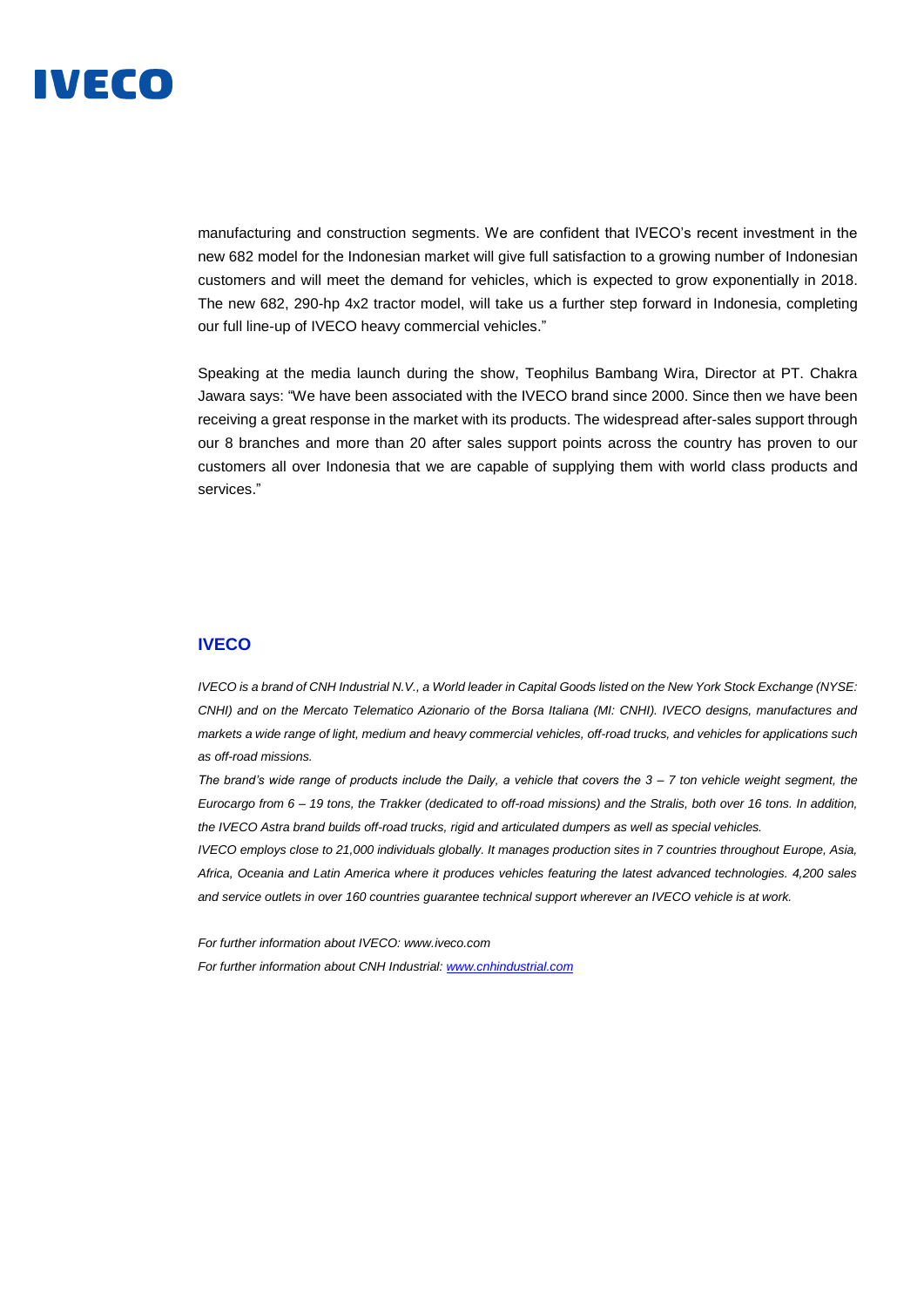

manufacturing and construction segments. We are confident that IVECO's recent investment in the new 682 model for the Indonesian market will give full satisfaction to a growing number of Indonesian customers and will meet the demand for vehicles, which is expected to grow exponentially in 2018. The new 682, 290-hp 4x2 tractor model, will take us a further step forward in Indonesia, completing our full line-up of IVECO heavy commercial vehicles."

Speaking at the media launch during the show, Teophilus Bambang Wira, Director at PT. Chakra Jawara says: "We have been associated with the IVECO brand since 2000. Since then we have been receiving a great response in the market with its products. The widespread after-sales support through our 8 branches and more than 20 after sales support points across the country has proven to our customers all over Indonesia that we are capable of supplying them with world class products and services."

### **IVECO**

*IVECO is a brand of CNH Industrial N.V., a World leader in Capital Goods listed on the New York Stock Exchange (NYSE: CNHI) and on the Mercato Telematico Azionario of the Borsa Italiana (MI: CNHI). IVECO designs, manufactures and markets a wide range of light, medium and heavy commercial vehicles, off-road trucks, and vehicles for applications such as off-road missions.* 

*The brand's wide range of products include the Daily, a vehicle that covers the 3 – 7 ton vehicle weight segment, the Eurocargo from 6 – 19 tons, the Trakker (dedicated to off-road missions) and the Stralis, both over 16 tons. In addition, the IVECO Astra brand builds off-road trucks, rigid and articulated dumpers as well as special vehicles.* 

*IVECO employs close to 21,000 individuals globally. It manages production sites in 7 countries throughout Europe, Asia, Africa, Oceania and Latin America where it produces vehicles featuring the latest advanced technologies. 4,200 sales and service outlets in over 160 countries guarantee technical support wherever an IVECO vehicle is at work.* 

*For further information about IVECO: www.iveco.com For further information about CNH Industrial[: www.cnhindustrial.com](http://www.cnhindustrial.com/)*